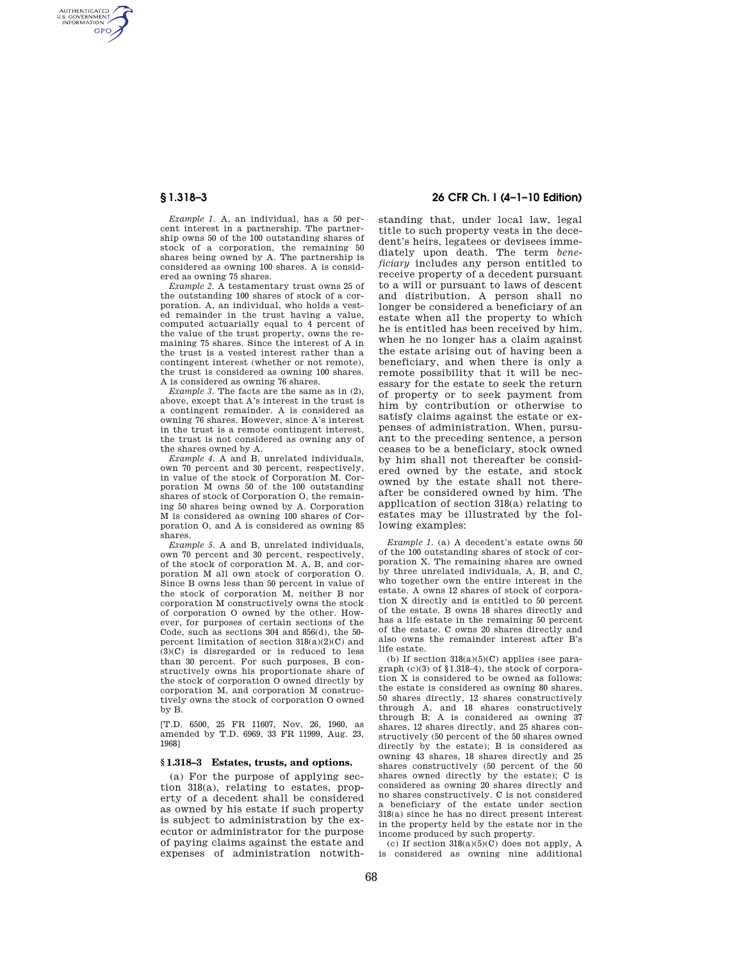AUTHENTICATED<br>U.S. GOVERNMENT<br>INFORMATION **GPO** 

> *Example 1.* A, an individual, has a 50 percent interest in a partnership. The partnership owns 50 of the 100 outstanding shares of stock of a corporation, the remaining 50 shares being owned by A. The partnership is considered as owning 100 shares. A is considered as owning 75 shares.

> *Example 2.* A testamentary trust owns 25 of the outstanding 100 shares of stock of a corporation. A, an individual, who holds a vested remainder in the trust having a value, computed actuarially equal to 4 percent of the value of the trust property, owns the remaining 75 shares. Since the interest of A in the trust is a vested interest rather than a contingent interest (whether or not remote), the trust is considered as owning 100 shares. A is considered as owning 76 shares.

> *Example 3.* The facts are the same as in (2), above, except that A's interest in the trust is a contingent remainder. A is considered as owning 76 shares. However, since A's interest in the trust is a remote contingent interest, the trust is not considered as owning any of the shares owned by A.

> *Example 4.* A and B, unrelated individuals, own 70 percent and 30 percent, respectively, in value of the stock of Corporation M. Corporation M owns 50 of the 100 outstanding shares of stock of Corporation O, the remaining 50 shares being owned by A. Corporation M is considered as owning 100 shares of Corporation O, and A is considered as owning 85 shares.

> *Example 5.* A and B, unrelated individuals, own 70 percent and 30 percent, respectively, of the stock of corporation M. A, B, and corporation M all own stock of corporation O. Since B owns less than 50 percent in value of the stock of corporation M, neither B nor corporation M constructively owns the stock of corporation O owned by the other. However, for purposes of certain sections of the Code, such as sections 304 and 856(d), the 50 percent limitation of section 318(a)(2)(C) and (3)(C) is disregarded or is reduced to less than 30 percent. For such purposes, B constructively owns his proportionate share of the stock of corporation O owned directly by corporation M, and corporation M constructively owns the stock of corporation O owned by B.

[T.D. 6500, 25 FR 11607, Nov. 26, 1960, as amended by T.D. 6969, 33 FR 11999, Aug. 23, 1968]

## **§ 1.318–3 Estates, trusts, and options.**

(a) For the purpose of applying section 318(a), relating to estates, property of a decedent shall be considered as owned by his estate if such property is subject to administration by the executor or administrator for the purpose of paying claims against the estate and expenses of administration notwith-

# **§ 1.318–3 26 CFR Ch. I (4–1–10 Edition)**

standing that, under local law, legal title to such property vests in the decedent's heirs, legatees or devisees immediately upon death. The term *beneficiary* includes any person entitled to receive property of a decedent pursuant to a will or pursuant to laws of descent and distribution. A person shall no longer be considered a beneficiary of an estate when all the property to which he is entitled has been received by him, when he no longer has a claim against the estate arising out of having been a beneficiary, and when there is only a remote possibility that it will be necessary for the estate to seek the return of property or to seek payment from him by contribution or otherwise to satisfy claims against the estate or expenses of administration. When, pursuant to the preceding sentence, a person ceases to be a beneficiary, stock owned by him shall not thereafter be considered owned by the estate, and stock owned by the estate shall not thereafter be considered owned by him. The application of section 318(a) relating to estates may be illustrated by the following examples:

*Example 1.* (a) A decedent's estate owns 50 of the 100 outstanding shares of stock of corporation X. The remaining shares are owned by three unrelated individuals, A, B, and C, who together own the entire interest in the estate. A owns 12 shares of stock of corporation X directly and is entitled to 50 percent of the estate. B owns 18 shares directly and has a life estate in the remaining 50 percent of the estate. C owns 20 shares directly and also owns the remainder interest after B's life estate.

(b) If section  $318(a)(5)(C)$  applies (see paragraph (c)(3) of §1.318–4), the stock of corporation X is considered to be owned as follows: the estate is considered as owning 80 shares, 50 shares directly, 12 shares constructively through A, and 18 shares constructively through B; A is considered as owning 37 shares, 12 shares directly, and 25 shares constructively (50 percent of the 50 shares owned directly by the estate); B is considered as owning 43 shares, 18 shares directly and 25 shares constructively (50 percent of the 50 shares owned directly by the estate); C is considered as owning 20 shares directly and no shares constructively. C is not considered a beneficiary of the estate under section 318(a) since he has no direct present interest in the property held by the estate nor in the income produced by such property.

(c) If section 318(a)(5)(C) does not apply, A is considered as owning nine additional